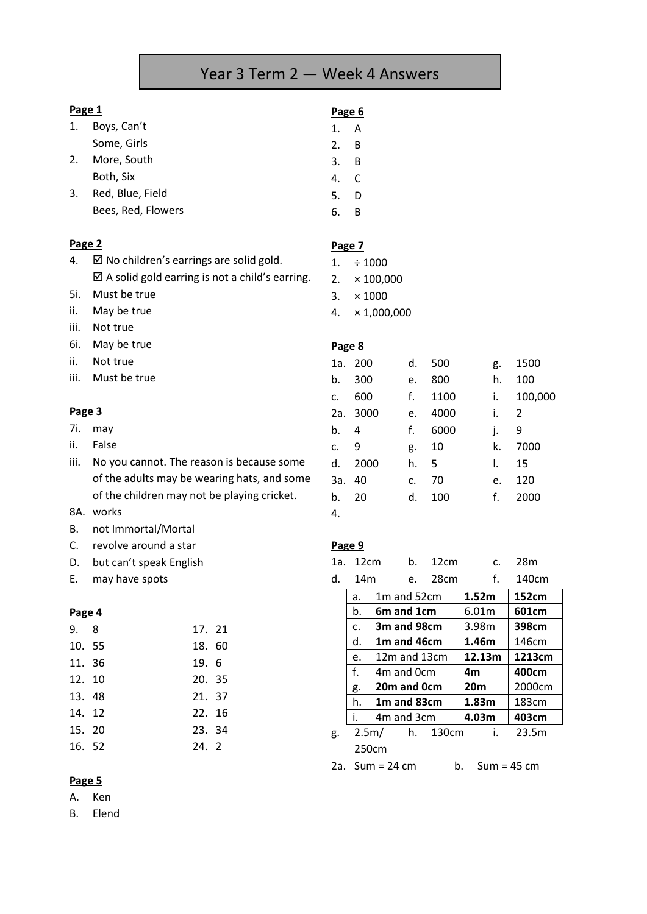# Year 3 Term 2 — Week 4 Answers

#### **Page 1**

- 1. Boys, Can't Some, Girls 2. More, South
	- Both, Six
- 3. Red, Blue, Field Bees, Red, Flowers

# **Page 2**

4. Ø No children's earrings are solid gold.  $\boxtimes$  A solid gold earring is not a child's earring.

- 5i. Must be true
- ii. May be true
- iii. Not true
- 6i. May be true
- ii. Not true
- iii. Must be true

# **Page 3**

- 7i. may
- ii. False
- iii. No you cannot. The reason is because some of the adults may be wearing hats, and some of the children may not be playing cricket.
- 8A. works
- B. not Immortal/Mortal
- C. revolve around a star
- D. but can't speak English
- E. may have spots

## **Page 4**

| 9. 8   | 17. 21 |  |
|--------|--------|--|
| 10. 55 | 18.60  |  |
| 11. 36 | 19. 6  |  |
| 12. 10 | 20. 35 |  |
| 13. 48 | 21. 37 |  |
| 14. 12 | 22. 16 |  |
| 15. 20 | 23. 34 |  |
| 16. 52 | 24. 2  |  |

## **Page 5**

A. Ken

B. Elend

## **Page 6**

- 1. A
- 2. B
- 3. B
- 4. C
- 5. D
- 6. B

## **Page 7**

- $1. \div 1000$
- 2.  $\times$  100,000
- 3.  $\times 1000$
- 4. × 1,000,000

#### **Page 8**

|     | 1a. 200 | d. | 500  | g. | 1500          |
|-----|---------|----|------|----|---------------|
| b.  | 300     | e. | 800  | h. | 100           |
| C.  | 600     | f. | 1100 | i. | 100,000       |
| 2a. | 3000    | e. | 4000 | i. | $\mathcal{P}$ |
| b.  | 4       | f. | 6000 | j. | 9             |
| c.  | 9       | g. | 10   | k. | 7000          |
| d.  | 2000    | h. | 5    | I. | 15            |
| За. | 40      | c. | 70   | e. | 120           |
| b.  | 20      | d. | 100  | f. | 2000          |
| 4.  |         |    |      |    |               |
|     |         |    |      |    |               |

#### **Page 9**

| 1a. | 12cm | b.                                  |  | 12 <sub>cm</sub> | $\mathsf{C}$             | 28m    |
|-----|------|-------------------------------------|--|------------------|--------------------------|--------|
| d.  | 14m  |                                     |  | e. 28cm          | f.                       | 140cm  |
|     | a.   | 1m and 52cm                         |  |                  | 1.52m                    | 152cm  |
|     | b.   | 6m and 1cm                          |  |                  | 6.01m                    | 601cm  |
|     | c.   | 3m and 98cm                         |  |                  | 3.98m                    | 398cm  |
|     | d.   | 1m and 46cm                         |  |                  | 1.46m                    | 146cm  |
|     | e.   | $12m$ and $13cm$                    |  | 12.13m           | 1213cm                   |        |
|     | f.   | 4m and 0cm                          |  |                  | 4m                       | 400cm  |
|     | g.   | 20m and 0cm                         |  |                  | 20 <sub>m</sub>          | 2000cm |
|     | h.   | 1 <sub>m</sub> and 83 <sub>cm</sub> |  |                  | 1.83m                    | 183cm  |
|     | i.   | 4m and 3cm                          |  |                  | 4.03 <sub>m</sub>        | 403cm  |
| g.  |      | 2.5m/ h. 130cm                      |  |                  | $\mathbf{i}$ .           | 23.5m  |
|     |      | 250cm                               |  |                  |                          |        |
| າີ  |      | $C_{11}$ $m = 24$ cm                |  |                  | $h = C_{11}m - 15 \, cm$ |        |

2a. Sum = 24 cm b. Sum = 45 cm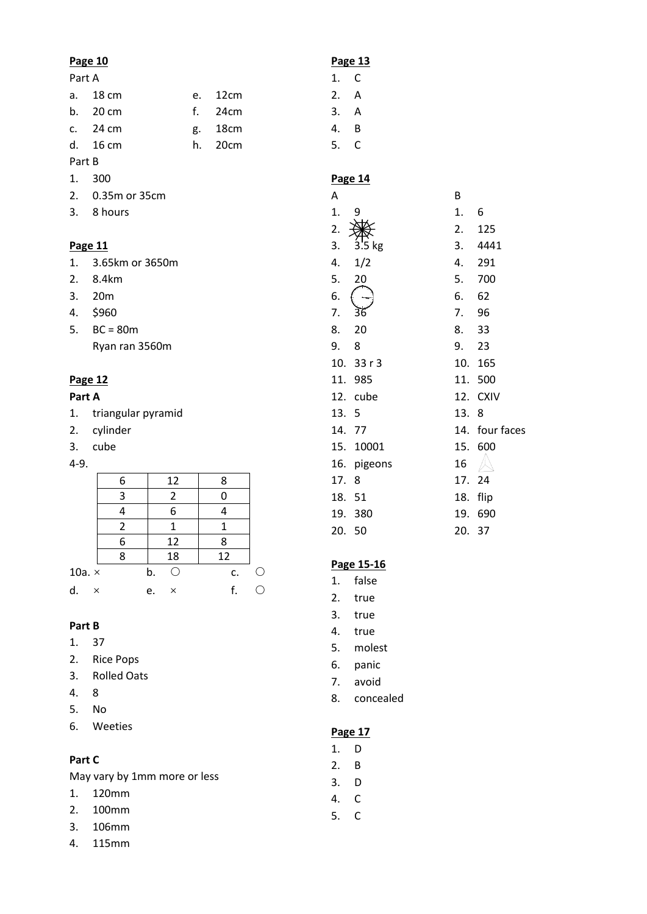#### **Page 10**

## Part A

|        | a. 18 cm           | e. 12cm |
|--------|--------------------|---------|
|        | b. 20 cm           | f. 24cm |
|        | c. $24 \text{ cm}$ | g. 18cm |
|        | d. 16 cm           | h. 20cm |
| Part B |                    |         |

# 1. 300

- 2. 0.35m or 35cm
- 3. 8 hours

## **Page 11**

- 2. 8.4km
- 3. 20m
- 4. \$960
- 5. BC = 80m Ryan ran 3560m

# **Page 12**

## **Part A**

- 1. triangular pyramid
- 2. cylinder
- 3. cube

#### 4-9.

|               | 6 | 12             | 8  |  |
|---------------|---|----------------|----|--|
|               | 3 | 2              | 0  |  |
|               |   | 6              |    |  |
|               | 2 |                |    |  |
|               | 6 | 12             | 8  |  |
|               | 8 | 18             | 12 |  |
| 10a. $\times$ |   | b.             | c. |  |
| d.<br>×       |   | $\times$<br>e. |    |  |

# **Part B**

- 1. 37
- 2. Rice Pops
- 3. Rolled Oats
- 4. 8
- 5. No
- 6. Weeties

# **Part C**

May vary by 1mm more or less

- 1. 120mm
- 2. 100mm
- 3. 106mm
- 4. 115mm

# **Page 13**

- 1. C
- 2. A
- 3. A
- 4. B
- 5. C

# **Page 14**

| Α      |             | B     |             |
|--------|-------------|-------|-------------|
| 1.     | 9           | 1.    | 6           |
| 2.     |             | 2.    | 125         |
| 3.     | 3.5 kg      | 3.    | 4441        |
| 4.     | 1/2         | 4.    | 291         |
| 5.     | 20          | 5.    | 700         |
| 6.     |             | 6.    | 62          |
| 7.     | 36          | 7.    | 96          |
| 8.     | 20          | 8. 33 |             |
| 9.     | 8           | 9.    | 23          |
|        | 10.33r3     | 10.   | 165         |
|        | 11. 985     | 11.   | 500         |
|        | 12. cube    | 12.   | <b>CXIV</b> |
| 13. 5  |             | 13.   | 8           |
| 14. 77 |             | 14.   | four faces  |
|        | 15. 10001   | 15.   | 600         |
|        | 16. pigeons | 16    |             |
| 17. 8  |             | 17.   | 24          |
| 18.    | 51          | 18.   | flip        |
| 19.    | 380         | 19.   | 690         |
| 20.    | 50          | 20.   | 37          |

# **Page 15-16**

- 1. false
- 2. true
- 3. true
- 4. true
- 5. molest
- 6. panic
- 7. avoid
- 8. concealed

# **Page 17**

- 1. D
- 2. B
- 3. D
- 4. C
- 5. C